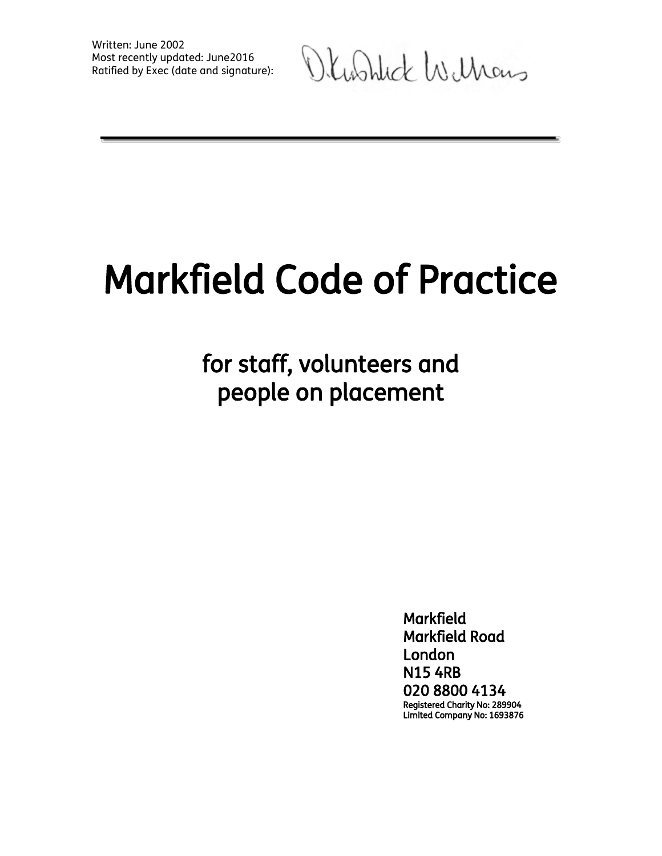Olushick Williams

# Markfield Code of Practice

for staff, volunteers and people on placement

> Markfield Markfield Road London N15 4RB 020 8800 4134 Registered Charity No: 289904 Limited Company No: 1693876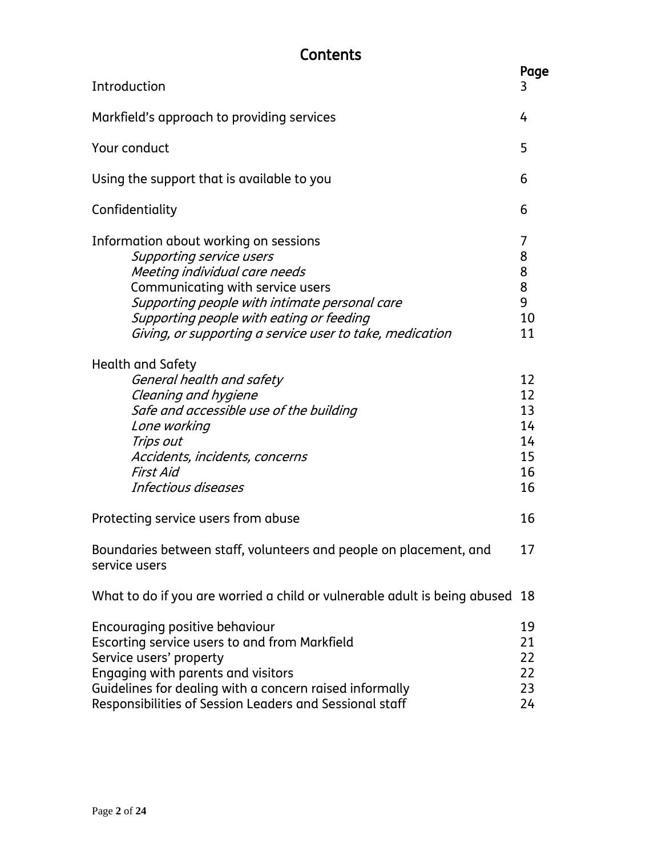# **Contents**

| Introduction                                                                                                                                                                                                                                                                                           | Page<br>3                                    |
|--------------------------------------------------------------------------------------------------------------------------------------------------------------------------------------------------------------------------------------------------------------------------------------------------------|----------------------------------------------|
|                                                                                                                                                                                                                                                                                                        | 4                                            |
| Markfield's approach to providing services                                                                                                                                                                                                                                                             |                                              |
| Your conduct                                                                                                                                                                                                                                                                                           | 5                                            |
| Using the support that is available to you                                                                                                                                                                                                                                                             | 6                                            |
| Confidentiality                                                                                                                                                                                                                                                                                        | 6                                            |
| Information about working on sessions<br><b>Supporting service users</b><br>Meeting individual care needs<br>Communicating with service users<br>Supporting people with intimate personal care<br>Supporting people with eating or feeding<br>Giving, or supporting a service user to take, medication | 7<br>8<br>8<br>8<br>9<br>10<br>11            |
| Health and Safety<br>General health and safety<br>Cleaning and hygiene<br>Safe and accessible use of the building<br>Lone working<br>Trips out<br>Accidents, incidents, concerns<br>First Aid<br>Infectious diseases                                                                                   | 12<br>12<br>13<br>14<br>14<br>15<br>16<br>16 |
| Protecting service users from abuse                                                                                                                                                                                                                                                                    | 16                                           |
| Boundaries between staff, volunteers and people on placement, and<br>service users                                                                                                                                                                                                                     | 17                                           |
| What to do if you are worried a child or vulnerable adult is being abused 18                                                                                                                                                                                                                           |                                              |
| Encouraging positive behaviour<br>Escorting service users to and from Markfield<br>Service users' property<br>Engaging with parents and visitors<br>Guidelines for dealing with a concern raised informally<br>Responsibilities of Session Leaders and Sessional staff                                 | 19<br>21<br>22<br>22<br>23<br>24             |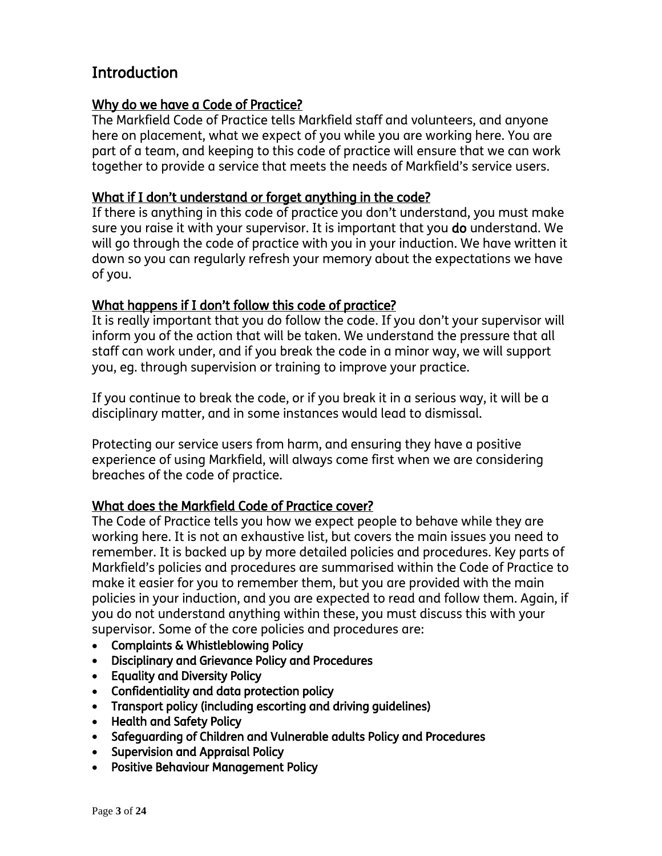## **Introduction**

#### Why do we have a Code of Practice?

The Markfield Code of Practice tells Markfield staff and volunteers, and anyone here on placement, what we expect of you while you are working here. You are part of a team, and keeping to this code of practice will ensure that we can work together to provide a service that meets the needs of Markfield's service users.

#### What if I don't understand or forget anything in the code?

If there is anything in this code of practice you don't understand, you must make sure you raise it with your supervisor. It is important that you do understand. We will go through the code of practice with you in your induction. We have written it down so you can regularly refresh your memory about the expectations we have of you.

#### What happens if I don't follow this code of practice?

It is really important that you do follow the code. If you don't your supervisor will inform you of the action that will be taken. We understand the pressure that all staff can work under, and if you break the code in a minor way, we will support you, eg. through supervision or training to improve your practice.

If you continue to break the code, or if you break it in a serious way, it will be a disciplinary matter, and in some instances would lead to dismissal.

Protecting our service users from harm, and ensuring they have a positive experience of using Markfield, will always come first when we are considering breaches of the code of practice.

#### What does the Markfield Code of Practice cover?

The Code of Practice tells you how we expect people to behave while they are working here. It is not an exhaustive list, but covers the main issues you need to remember. It is backed up by more detailed policies and procedures. Key parts of Markfield's policies and procedures are summarised within the Code of Practice to make it easier for you to remember them, but you are provided with the main policies in your induction, and you are expected to read and follow them. Again, if you do not understand anything within these, you must discuss this with your supervisor. Some of the core policies and procedures are:

- Complaints & Whistleblowing Policy
- Disciplinary and Grievance Policy and Procedures
- Equality and Diversity Policy
- Confidentiality and data protection policy
- Transport policy (including escorting and driving guidelines)
- Health and Safety Policy
- Safeguarding of Children and Vulnerable adults Policy and Procedures
- Supervision and Appraisal Policy
- Positive Behaviour Management Policy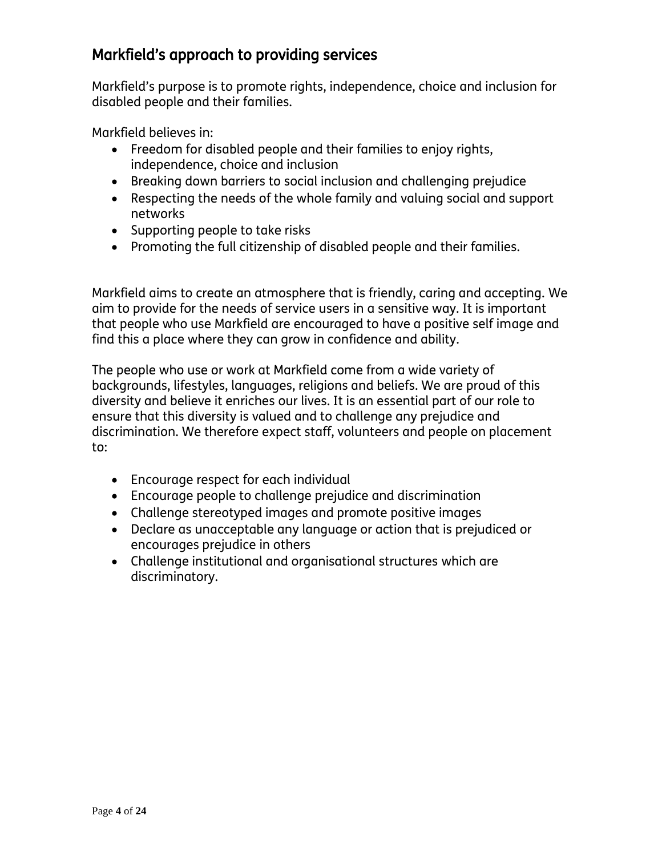# Markfield's approach to providing services

Markfield's purpose is to promote rights, independence, choice and inclusion for disabled people and their families.

Markfield believes in:

- Freedom for disabled people and their families to enjoy rights, independence, choice and inclusion
- Breaking down barriers to social inclusion and challenging prejudice
- Respecting the needs of the whole family and valuing social and support networks
- Supporting people to take risks
- Promoting the full citizenship of disabled people and their families.

Markfield aims to create an atmosphere that is friendly, caring and accepting. We aim to provide for the needs of service users in a sensitive way. It is important that people who use Markfield are encouraged to have a positive self image and find this a place where they can grow in confidence and ability.

The people who use or work at Markfield come from a wide variety of backgrounds, lifestyles, languages, religions and beliefs. We are proud of this diversity and believe it enriches our lives. It is an essential part of our role to ensure that this diversity is valued and to challenge any prejudice and discrimination. We therefore expect staff, volunteers and people on placement to:

- Encourage respect for each individual
- Encourage people to challenge prejudice and discrimination
- Challenge stereotyped images and promote positive images
- Declare as unacceptable any language or action that is prejudiced or encourages prejudice in others
- Challenge institutional and organisational structures which are discriminatory.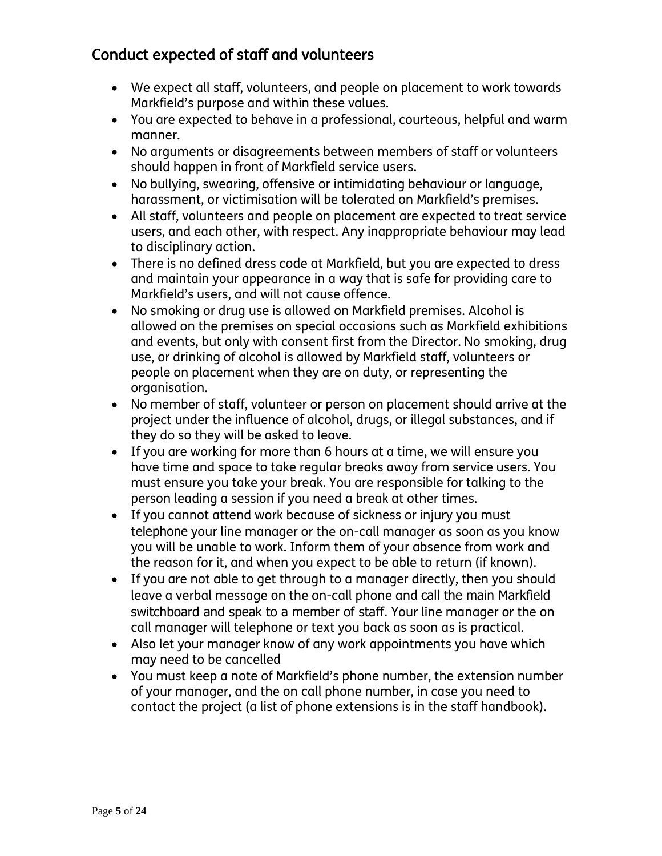# Conduct expected of staff and volunteers

- We expect all staff, volunteers, and people on placement to work towards Markfield's purpose and within these values.
- You are expected to behave in a professional, courteous, helpful and warm manner.
- No arguments or disagreements between members of staff or volunteers should happen in front of Markfield service users.
- No bullying, swearing, offensive or intimidating behaviour or language, harassment, or victimisation will be tolerated on Markfield's premises.
- All staff, volunteers and people on placement are expected to treat service users, and each other, with respect. Any inappropriate behaviour may lead to disciplinary action.
- There is no defined dress code at Markfield, but you are expected to dress and maintain your appearance in a way that is safe for providing care to Markfield's users, and will not cause offence.
- No smoking or drug use is allowed on Markfield premises. Alcohol is allowed on the premises on special occasions such as Markfield exhibitions and events, but only with consent first from the Director. No smoking, drug use, or drinking of alcohol is allowed by Markfield staff, volunteers or people on placement when they are on duty, or representing the organisation.
- No member of staff, volunteer or person on placement should arrive at the project under the influence of alcohol, drugs, or illegal substances, and if they do so they will be asked to leave.
- If you are working for more than 6 hours at a time, we will ensure you have time and space to take regular breaks away from service users. You must ensure you take your break. You are responsible for talking to the person leading a session if you need a break at other times.
- If you cannot attend work because of sickness or injury you must telephone your line manager or the on-call manager as soon as you know you will be unable to work. Inform them of your absence from work and the reason for it, and when you expect to be able to return (if known).
- If you are not able to get through to a manager directly, then you should leave a verbal message on the on-call phone and call the main Markfield switchboard and speak to a member of staff. Your line manager or the on call manager will telephone or text you back as soon as is practical.
- Also let your manager know of any work appointments you have which may need to be cancelled
- You must keep a note of Markfield's phone number, the extension number of your manager, and the on call phone number, in case you need to contact the project (a list of phone extensions is in the staff handbook).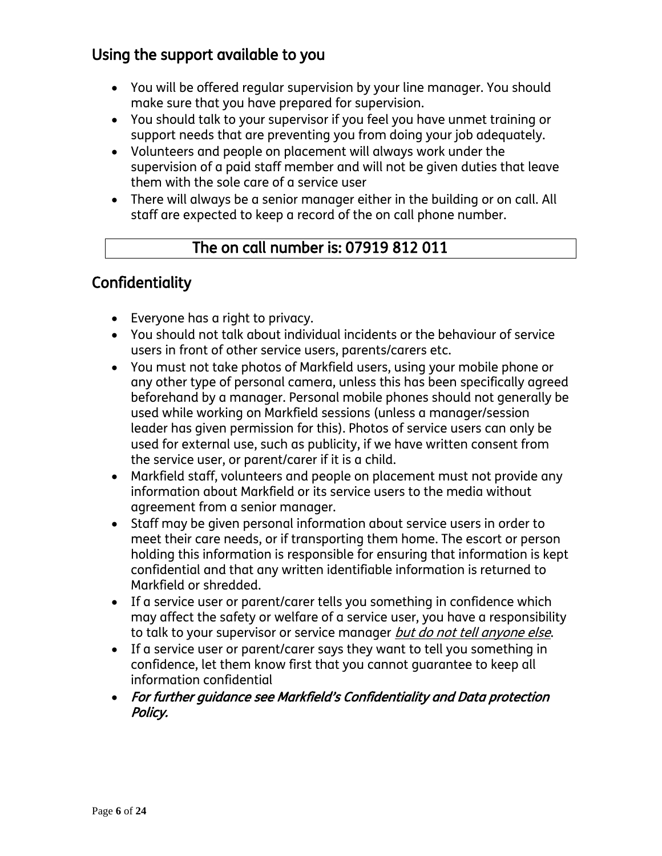# Using the support available to you

- You will be offered regular supervision by your line manager. You should make sure that you have prepared for supervision.
- You should talk to your supervisor if you feel you have unmet training or support needs that are preventing you from doing your job adequately.
- Volunteers and people on placement will always work under the supervision of a paid staff member and will not be given duties that leave them with the sole care of a service user
- There will always be a senior manager either in the building or on call. All staff are expected to keep a record of the on call phone number.

## The on call number is: 07919 812 011

## **Confidentiality**

- Everyone has a right to privacy.
- You should not talk about individual incidents or the behaviour of service users in front of other service users, parents/carers etc.
- You must not take photos of Markfield users, using your mobile phone or any other type of personal camera, unless this has been specifically agreed beforehand by a manager. Personal mobile phones should not generally be used while working on Markfield sessions (unless a manager/session leader has given permission for this). Photos of service users can only be used for external use, such as publicity, if we have written consent from the service user, or parent/carer if it is a child.
- Markfield staff, volunteers and people on placement must not provide any information about Markfield or its service users to the media without agreement from a senior manager.
- Staff may be given personal information about service users in order to meet their care needs, or if transporting them home. The escort or person holding this information is responsible for ensuring that information is kept confidential and that any written identifiable information is returned to Markfield or shredded.
- If a service user or parent/carer tells you something in confidence which may affect the safety or welfare of a service user, you have a responsibility to talk to your supervisor or service manager but do not tell anyone else.
- If a service user or parent/carer says they want to tell you something in confidence, let them know first that you cannot guarantee to keep all information confidential
- For further guidance see Markfield's Confidentiality and Data protection Policy.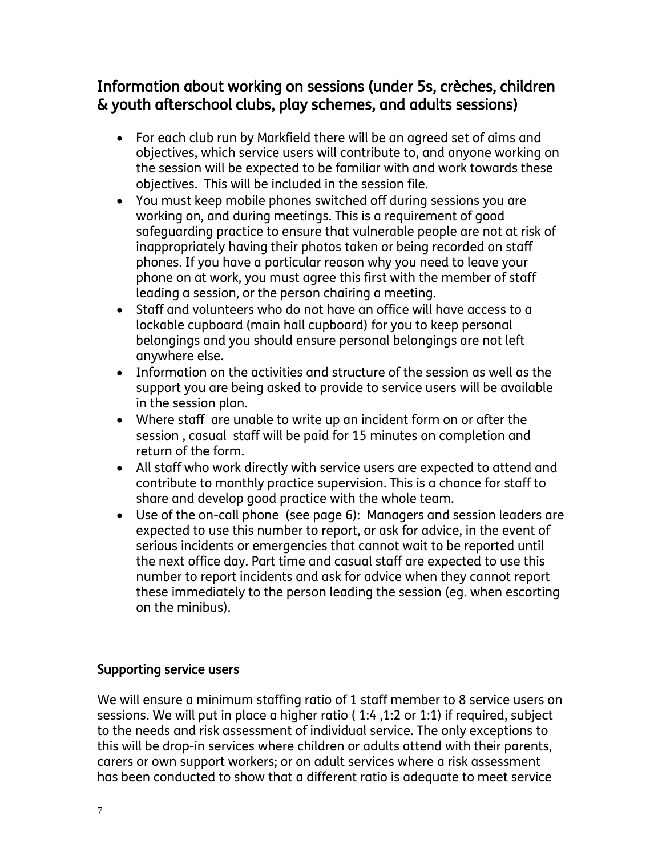## Information about working on sessions (under 5s, crèches, children & youth afterschool clubs, play schemes, and adults sessions)

- For each club run by Markfield there will be an agreed set of aims and objectives, which service users will contribute to, and anyone working on the session will be expected to be familiar with and work towards these objectives. This will be included in the session file.
- You must keep mobile phones switched off during sessions you are working on, and during meetings. This is a requirement of good safeguarding practice to ensure that vulnerable people are not at risk of inappropriately having their photos taken or being recorded on staff phones. If you have a particular reason why you need to leave your phone on at work, you must agree this first with the member of staff leading a session, or the person chairing a meeting.
- Staff and volunteers who do not have an office will have access to a lockable cupboard (main hall cupboard) for you to keep personal belongings and you should ensure personal belongings are not left anywhere else.
- Information on the activities and structure of the session as well as the support you are being asked to provide to service users will be available in the session plan.
- Where staff are unable to write up an incident form on or after the session , casual staff will be paid for 15 minutes on completion and return of the form.
- All staff who work directly with service users are expected to attend and contribute to monthly practice supervision. This is a chance for staff to share and develop good practice with the whole team.
- Use of the on-call phone (see page 6): Managers and session leaders are expected to use this number to report, or ask for advice, in the event of serious incidents or emergencies that cannot wait to be reported until the next office day. Part time and casual staff are expected to use this number to report incidents and ask for advice when they cannot report these immediately to the person leading the session (eg. when escorting on the minibus).

#### Supporting service users

We will ensure a minimum staffing ratio of 1 staff member to 8 service users on sessions. We will put in place a higher ratio ( 1:4 ,1:2 or 1:1) if required, subject to the needs and risk assessment of individual service. The only exceptions to this will be drop-in services where children or adults attend with their parents, carers or own support workers; or on adult services where a risk assessment has been conducted to show that a different ratio is adequate to meet service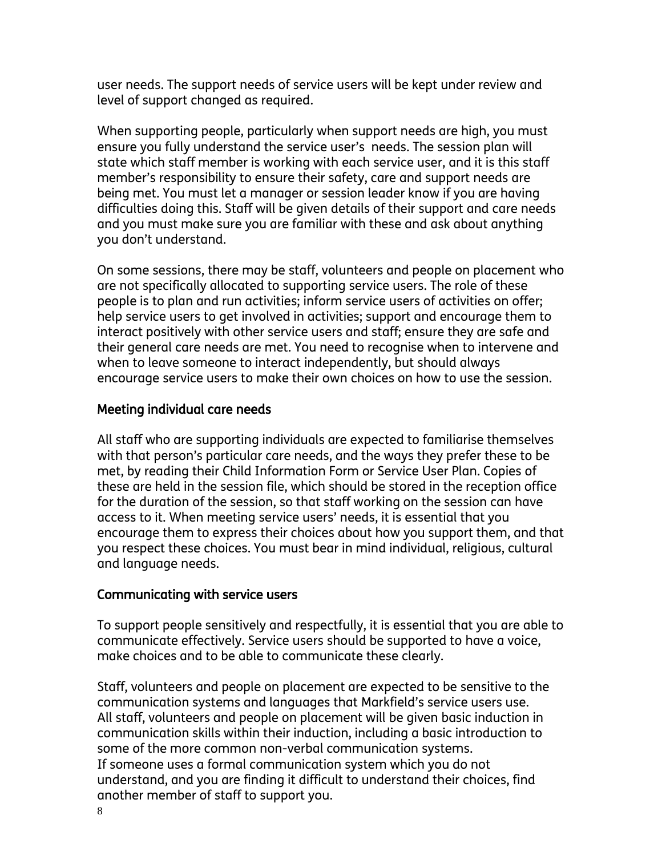user needs. The support needs of service users will be kept under review and level of support changed as required.

When supporting people, particularly when support needs are high, you must ensure you fully understand the service user's needs. The session plan will state which staff member is working with each service user, and it is this staff member's responsibility to ensure their safety, care and support needs are being met. You must let a manager or session leader know if you are having difficulties doing this. Staff will be given details of their support and care needs and you must make sure you are familiar with these and ask about anything you don't understand.

On some sessions, there may be staff, volunteers and people on placement who are not specifically allocated to supporting service users. The role of these people is to plan and run activities; inform service users of activities on offer; help service users to get involved in activities; support and encourage them to interact positively with other service users and staff; ensure they are safe and their general care needs are met. You need to recognise when to intervene and when to leave someone to interact independently, but should always encourage service users to make their own choices on how to use the session.

#### Meeting individual care needs

All staff who are supporting individuals are expected to familiarise themselves with that person's particular care needs, and the ways they prefer these to be met, by reading their Child Information Form or Service User Plan. Copies of these are held in the session file, which should be stored in the reception office for the duration of the session, so that staff working on the session can have access to it. When meeting service users' needs, it is essential that you encourage them to express their choices about how you support them, and that you respect these choices. You must bear in mind individual, religious, cultural and language needs.

#### Communicating with service users

To support people sensitively and respectfully, it is essential that you are able to communicate effectively. Service users should be supported to have a voice, make choices and to be able to communicate these clearly.

Staff, volunteers and people on placement are expected to be sensitive to the communication systems and languages that Markfield's service users use. All staff, volunteers and people on placement will be given basic induction in communication skills within their induction, including a basic introduction to some of the more common non-verbal communication systems. If someone uses a formal communication system which you do not understand, and you are finding it difficult to understand their choices, find another member of staff to support you.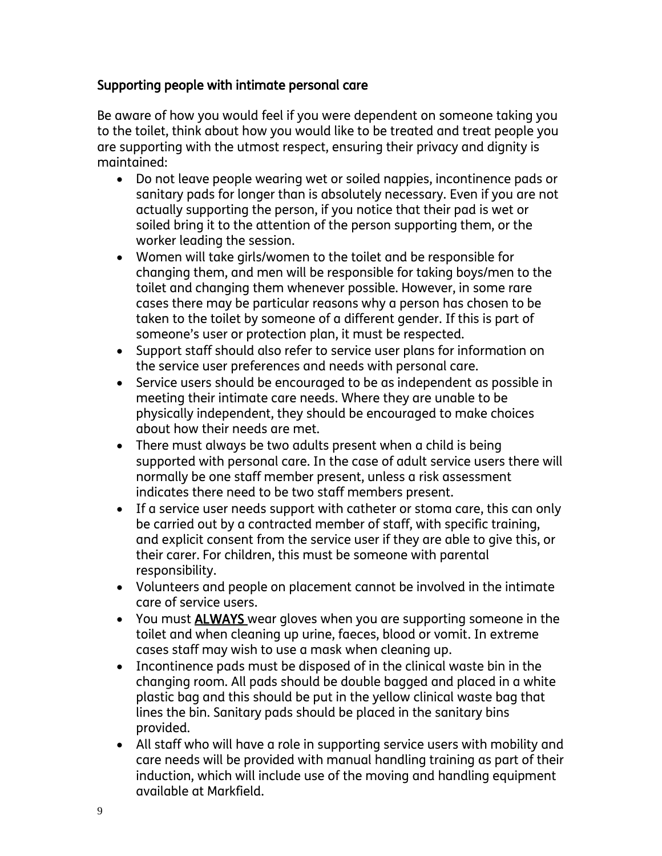#### Supporting people with intimate personal care

Be aware of how you would feel if you were dependent on someone taking you to the toilet, think about how you would like to be treated and treat people you are supporting with the utmost respect, ensuring their privacy and dignity is maintained:

- Do not leave people wearing wet or soiled nappies, incontinence pads or sanitary pads for longer than is absolutely necessary. Even if you are not actually supporting the person, if you notice that their pad is wet or soiled bring it to the attention of the person supporting them, or the worker leading the session.
- Women will take girls/women to the toilet and be responsible for changing them, and men will be responsible for taking boys/men to the toilet and changing them whenever possible. However, in some rare cases there may be particular reasons why a person has chosen to be taken to the toilet by someone of a different gender. If this is part of someone's user or protection plan, it must be respected.
- Support staff should also refer to service user plans for information on the service user preferences and needs with personal care.
- Service users should be encouraged to be as independent as possible in meeting their intimate care needs. Where they are unable to be physically independent, they should be encouraged to make choices about how their needs are met.
- There must always be two adults present when a child is being supported with personal care. In the case of adult service users there will normally be one staff member present, unless a risk assessment indicates there need to be two staff members present.
- If a service user needs support with catheter or stoma care, this can only be carried out by a contracted member of staff, with specific training, and explicit consent from the service user if they are able to give this, or their carer. For children, this must be someone with parental responsibility.
- Volunteers and people on placement cannot be involved in the intimate care of service users.
- You must ALWAYS wear gloves when you are supporting someone in the toilet and when cleaning up urine, faeces, blood or vomit. In extreme cases staff may wish to use a mask when cleaning up.
- Incontinence pads must be disposed of in the clinical waste bin in the changing room. All pads should be double bagged and placed in a white plastic bag and this should be put in the yellow clinical waste bag that lines the bin. Sanitary pads should be placed in the sanitary bins provided.
- All staff who will have a role in supporting service users with mobility and care needs will be provided with manual handling training as part of their induction, which will include use of the moving and handling equipment available at Markfield.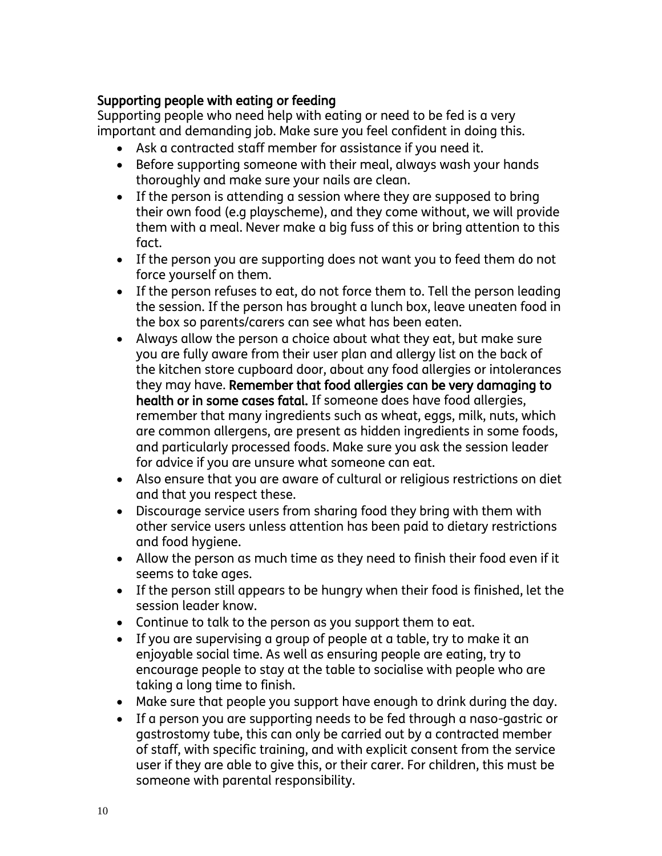#### Supporting people with eating or feeding

Supporting people who need help with eating or need to be fed is a very important and demanding job. Make sure you feel confident in doing this.

- Ask a contracted staff member for assistance if you need it.
- Before supporting someone with their meal, always wash your hands thoroughly and make sure your nails are clean.
- If the person is attending a session where they are supposed to bring their own food (e.g playscheme), and they come without, we will provide them with a meal. Never make a big fuss of this or bring attention to this fact.
- If the person you are supporting does not want you to feed them do not force yourself on them.
- If the person refuses to eat, do not force them to. Tell the person leading the session. If the person has brought a lunch box, leave uneaten food in the box so parents/carers can see what has been eaten.
- Always allow the person a choice about what they eat, but make sure you are fully aware from their user plan and allergy list on the back of the kitchen store cupboard door, about any food allergies or intolerances they may have. Remember that food allergies can be very damaging to health or in some cases fatal. If someone does have food allergies, remember that many ingredients such as wheat, eggs, milk, nuts, which are common allergens, are present as hidden ingredients in some foods, and particularly processed foods. Make sure you ask the session leader for advice if you are unsure what someone can eat.
- Also ensure that you are aware of cultural or religious restrictions on diet and that you respect these.
- Discourage service users from sharing food they bring with them with other service users unless attention has been paid to dietary restrictions and food hygiene.
- Allow the person as much time as they need to finish their food even if it seems to take ages.
- If the person still appears to be hungry when their food is finished, let the session leader know.
- Continue to talk to the person as you support them to eat.
- If you are supervising a group of people at a table, try to make it an enjoyable social time. As well as ensuring people are eating, try to encourage people to stay at the table to socialise with people who are taking a long time to finish.
- Make sure that people you support have enough to drink during the day.
- If a person you are supporting needs to be fed through a naso-gastric or gastrostomy tube, this can only be carried out by a contracted member of staff, with specific training, and with explicit consent from the service user if they are able to give this, or their carer. For children, this must be someone with parental responsibility.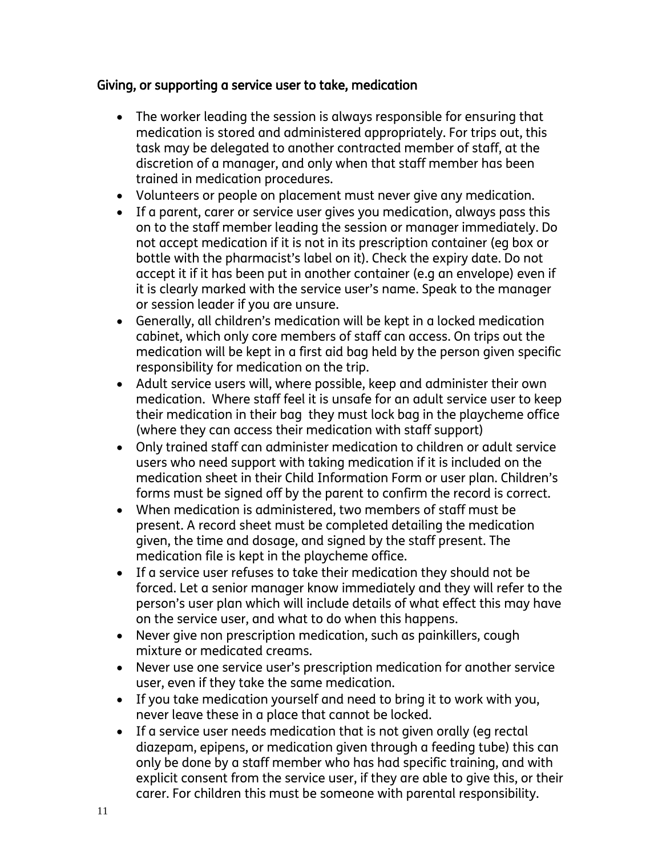#### Giving, or supporting a service user to take, medication

- The worker leading the session is always responsible for ensuring that medication is stored and administered appropriately. For trips out, this task may be delegated to another contracted member of staff, at the discretion of a manager, and only when that staff member has been trained in medication procedures.
- Volunteers or people on placement must never give any medication.
- If a parent, carer or service user gives you medication, always pass this on to the staff member leading the session or manager immediately. Do not accept medication if it is not in its prescription container (eg box or bottle with the pharmacist's label on it). Check the expiry date. Do not accept it if it has been put in another container (e.g an envelope) even if it is clearly marked with the service user's name. Speak to the manager or session leader if you are unsure.
- Generally, all children's medication will be kept in a locked medication cabinet, which only core members of staff can access. On trips out the medication will be kept in a first aid bag held by the person given specific responsibility for medication on the trip.
- Adult service users will, where possible, keep and administer their own medication. Where staff feel it is unsafe for an adult service user to keep their medication in their bag they must lock bag in the playcheme office (where they can access their medication with staff support)
- Only trained staff can administer medication to children or adult service users who need support with taking medication if it is included on the medication sheet in their Child Information Form or user plan. Children's forms must be signed off by the parent to confirm the record is correct.
- When medication is administered, two members of staff must be present. A record sheet must be completed detailing the medication given, the time and dosage, and signed by the staff present. The medication file is kept in the playcheme office.
- If a service user refuses to take their medication they should not be forced. Let a senior manager know immediately and they will refer to the person's user plan which will include details of what effect this may have on the service user, and what to do when this happens.
- Never give non prescription medication, such as painkillers, cough mixture or medicated creams.
- Never use one service user's prescription medication for another service user, even if they take the same medication.
- If you take medication yourself and need to bring it to work with you, never leave these in a place that cannot be locked.
- If a service user needs medication that is not given orally (eg rectal diazepam, epipens, or medication given through a feeding tube) this can only be done by a staff member who has had specific training, and with explicit consent from the service user, if they are able to give this, or their carer. For children this must be someone with parental responsibility.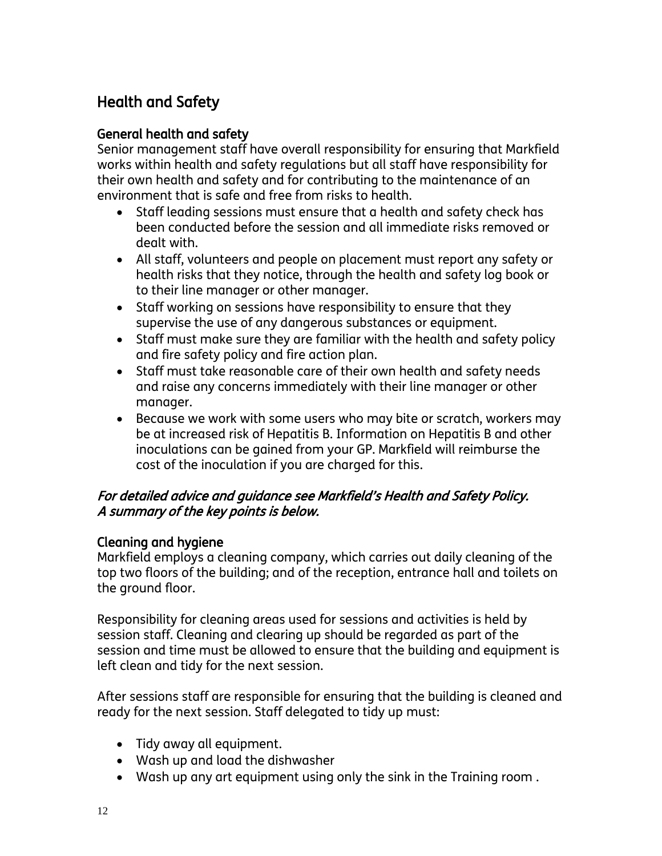# Health and Safety

#### General health and safety

Senior management staff have overall responsibility for ensuring that Markfield works within health and safety regulations but all staff have responsibility for their own health and safety and for contributing to the maintenance of an environment that is safe and free from risks to health.

- Staff leading sessions must ensure that a health and safety check has been conducted before the session and all immediate risks removed or dealt with.
- All staff, volunteers and people on placement must report any safety or health risks that they notice, through the health and safety log book or to their line manager or other manager.
- Staff working on sessions have responsibility to ensure that they supervise the use of any dangerous substances or equipment.
- Staff must make sure they are familiar with the health and safety policy and fire safety policy and fire action plan.
- Staff must take reasonable care of their own health and safety needs and raise any concerns immediately with their line manager or other manager.
- Because we work with some users who may bite or scratch, workers may be at increased risk of Hepatitis B. Information on Hepatitis B and other inoculations can be gained from your GP. Markfield will reimburse the cost of the inoculation if you are charged for this.

#### For detailed advice and guidance see Markfield's Health and Safety Policy. A summary of the key points is below.

#### Cleaning and hygiene

Markfield employs a cleaning company, which carries out daily cleaning of the top two floors of the building; and of the reception, entrance hall and toilets on the ground floor.

Responsibility for cleaning areas used for sessions and activities is held by session staff. Cleaning and clearing up should be regarded as part of the session and time must be allowed to ensure that the building and equipment is left clean and tidy for the next session.

After sessions staff are responsible for ensuring that the building is cleaned and ready for the next session. Staff delegated to tidy up must:

- Tidy away all equipment.
- Wash up and load the dishwasher
- Wash up any art equipment using only the sink in the Training room .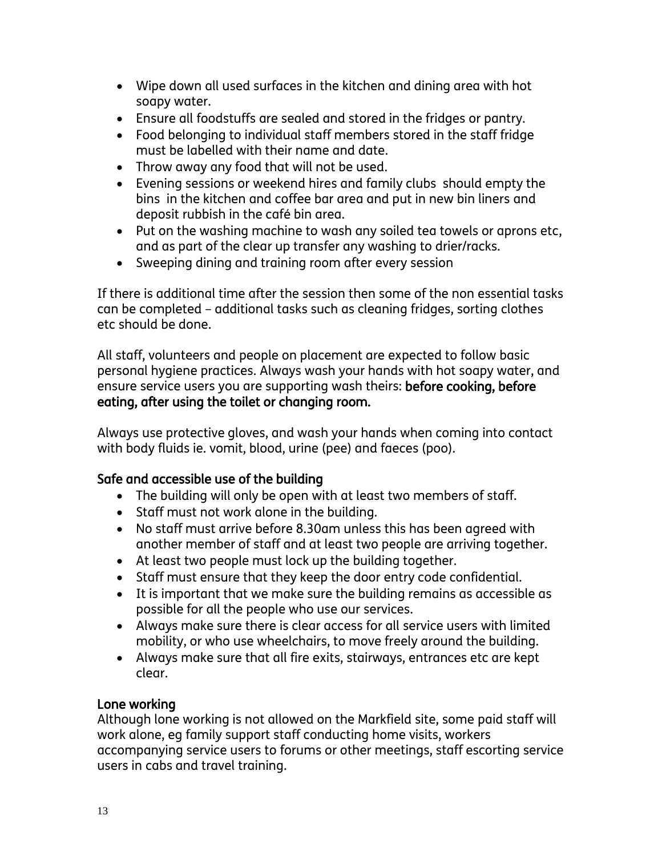- Wipe down all used surfaces in the kitchen and dining area with hot soapy water.
- Ensure all foodstuffs are sealed and stored in the fridges or pantry.
- Food belonging to individual staff members stored in the staff fridge must be labelled with their name and date.
- Throw away any food that will not be used.
- Evening sessions or weekend hires and family clubs should empty the bins in the kitchen and coffee bar area and put in new bin liners and deposit rubbish in the café bin area.
- Put on the washing machine to wash any soiled tea towels or aprons etc, and as part of the clear up transfer any washing to drier/racks.
- Sweeping dining and training room after every session

If there is additional time after the session then some of the non essential tasks can be completed – additional tasks such as cleaning fridges, sorting clothes etc should be done.

All staff, volunteers and people on placement are expected to follow basic personal hygiene practices. Always wash your hands with hot soapy water, and ensure service users you are supporting wash theirs: before cooking, before eating, after using the toilet or changing room.

Always use protective gloves, and wash your hands when coming into contact with body fluids ie. vomit, blood, urine (pee) and faeces (poo).

#### Safe and accessible use of the building

- The building will only be open with at least two members of staff.
- Staff must not work alone in the building.
- No staff must arrive before 8.30am unless this has been agreed with another member of staff and at least two people are arriving together.
- At least two people must lock up the building together.
- Staff must ensure that they keep the door entry code confidential.
- It is important that we make sure the building remains as accessible as possible for all the people who use our services.
- Always make sure there is clear access for all service users with limited mobility, or who use wheelchairs, to move freely around the building.
- Always make sure that all fire exits, stairways, entrances etc are kept clear.

#### Lone working

Although lone working is not allowed on the Markfield site, some paid staff will work alone, eg family support staff conducting home visits, workers accompanying service users to forums or other meetings, staff escorting service users in cabs and travel training.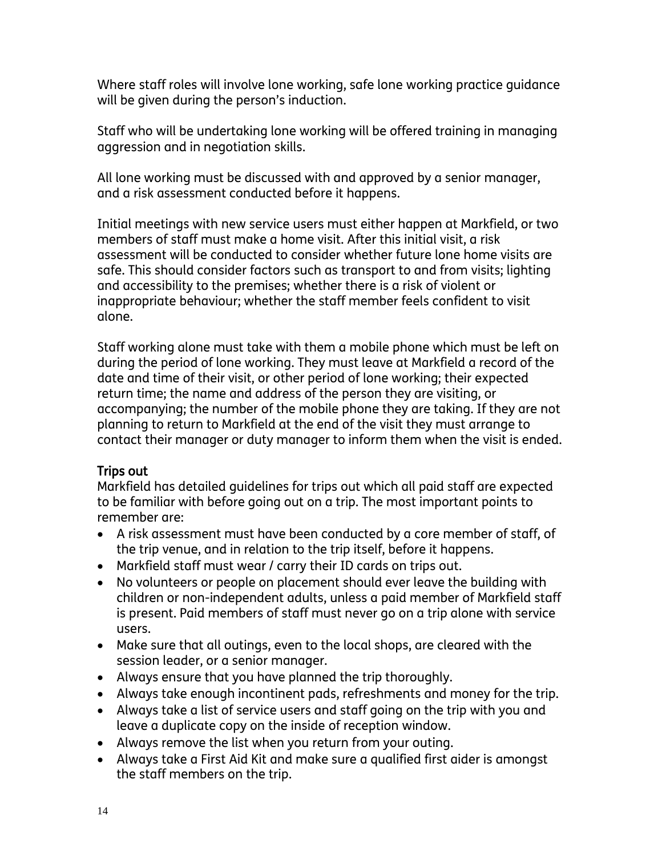Where staff roles will involve lone working, safe lone working practice guidance will be given during the person's induction.

Staff who will be undertaking lone working will be offered training in managing aggression and in negotiation skills.

All lone working must be discussed with and approved by a senior manager, and a risk assessment conducted before it happens.

Initial meetings with new service users must either happen at Markfield, or two members of staff must make a home visit. After this initial visit, a risk assessment will be conducted to consider whether future lone home visits are safe. This should consider factors such as transport to and from visits; lighting and accessibility to the premises; whether there is a risk of violent or inappropriate behaviour; whether the staff member feels confident to visit alone.

Staff working alone must take with them a mobile phone which must be left on during the period of lone working. They must leave at Markfield a record of the date and time of their visit, or other period of lone working; their expected return time; the name and address of the person they are visiting, or accompanying; the number of the mobile phone they are taking. If they are not planning to return to Markfield at the end of the visit they must arrange to contact their manager or duty manager to inform them when the visit is ended.

#### Trips out

Markfield has detailed guidelines for trips out which all paid staff are expected to be familiar with before going out on a trip. The most important points to remember are:

- A risk assessment must have been conducted by a core member of staff, of the trip venue, and in relation to the trip itself, before it happens.
- Markfield staff must wear / carry their ID cards on trips out.
- No volunteers or people on placement should ever leave the building with children or non-independent adults, unless a paid member of Markfield staff is present. Paid members of staff must never go on a trip alone with service users.
- Make sure that all outings, even to the local shops, are cleared with the session leader, or a senior manager.
- Always ensure that you have planned the trip thoroughly.
- Always take enough incontinent pads, refreshments and money for the trip.
- Always take a list of service users and staff going on the trip with you and leave a duplicate copy on the inside of reception window.
- Always remove the list when you return from your outing.
- Always take a First Aid Kit and make sure a qualified first aider is amongst the staff members on the trip.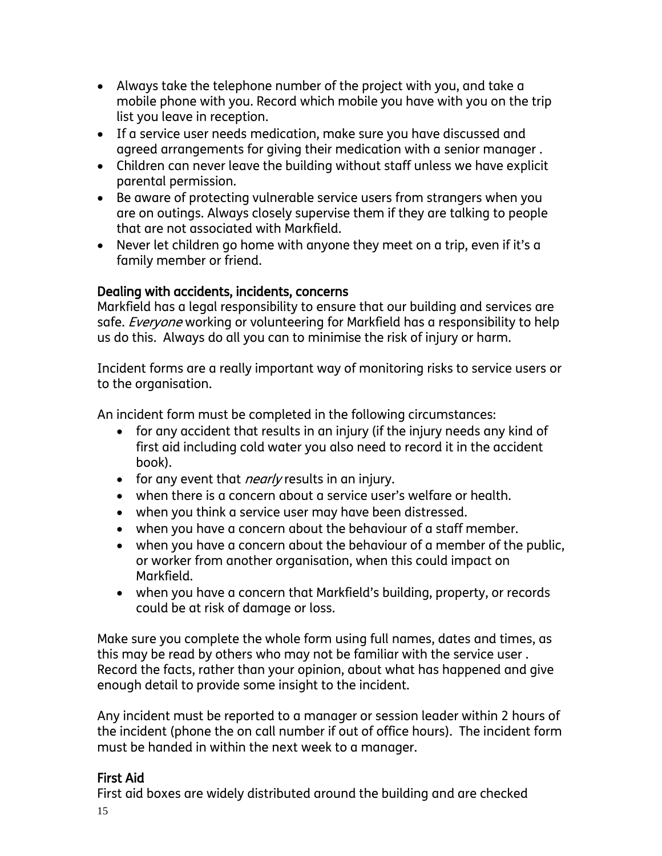- Always take the telephone number of the project with you, and take a mobile phone with you. Record which mobile you have with you on the trip list you leave in reception.
- If a service user needs medication, make sure you have discussed and agreed arrangements for giving their medication with a senior manager .
- Children can never leave the building without staff unless we have explicit parental permission.
- Be aware of protecting vulnerable service users from strangers when you are on outings. Always closely supervise them if they are talking to people that are not associated with Markfield.
- Never let children go home with anyone they meet on a trip, even if it's a family member or friend.

#### Dealing with accidents, incidents, concerns

Markfield has a legal responsibility to ensure that our building and services are safe. *Everyone* working or volunteering for Markfield has a responsibility to help us do this. Always do all you can to minimise the risk of injury or harm.

Incident forms are a really important way of monitoring risks to service users or to the organisation.

An incident form must be completed in the following circumstances:

- for any accident that results in an injury (if the injury needs any kind of first aid including cold water you also need to record it in the accident book).
- for any event that *nearly* results in an injury.
- when there is a concern about a service user's welfare or health.
- when you think a service user may have been distressed.
- when you have a concern about the behaviour of a staff member.
- when you have a concern about the behaviour of a member of the public, or worker from another organisation, when this could impact on Markfield.
- when you have a concern that Markfield's building, property, or records could be at risk of damage or loss.

Make sure you complete the whole form using full names, dates and times, as this may be read by others who may not be familiar with the service user . Record the facts, rather than your opinion, about what has happened and give enough detail to provide some insight to the incident.

Any incident must be reported to a manager or session leader within 2 hours of the incident (phone the on call number if out of office hours). The incident form must be handed in within the next week to a manager.

#### First Aid

First aid boxes are widely distributed around the building and are checked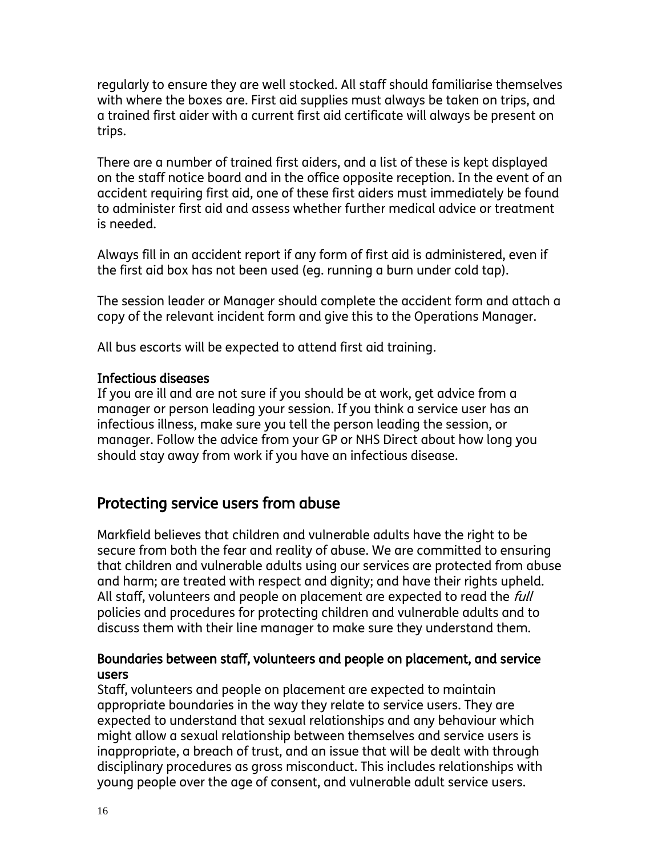regularly to ensure they are well stocked. All staff should familiarise themselves with where the boxes are. First aid supplies must always be taken on trips, and a trained first aider with a current first aid certificate will always be present on trips.

There are a number of trained first aiders, and a list of these is kept displayed on the staff notice board and in the office opposite reception. In the event of an accident requiring first aid, one of these first aiders must immediately be found to administer first aid and assess whether further medical advice or treatment is needed.

Always fill in an accident report if any form of first aid is administered, even if the first aid box has not been used (eg. running a burn under cold tap).

The session leader or Manager should complete the accident form and attach a copy of the relevant incident form and give this to the Operations Manager.

All bus escorts will be expected to attend first aid training.

#### Infectious diseases

If you are ill and are not sure if you should be at work, get advice from a manager or person leading your session. If you think a service user has an infectious illness, make sure you tell the person leading the session, or manager. Follow the advice from your GP or NHS Direct about how long you should stay away from work if you have an infectious disease.

## Protecting service users from abuse

Markfield believes that children and vulnerable adults have the right to be secure from both the fear and reality of abuse. We are committed to ensuring that children and vulnerable adults using our services are protected from abuse and harm; are treated with respect and dignity; and have their rights upheld. All staff, volunteers and people on placement are expected to read the *full* policies and procedures for protecting children and vulnerable adults and to discuss them with their line manager to make sure they understand them.

#### Boundaries between staff, volunteers and people on placement, and service users

Staff, volunteers and people on placement are expected to maintain appropriate boundaries in the way they relate to service users. They are expected to understand that sexual relationships and any behaviour which might allow a sexual relationship between themselves and service users is inappropriate, a breach of trust, and an issue that will be dealt with through disciplinary procedures as gross misconduct. This includes relationships with young people over the age of consent, and vulnerable adult service users.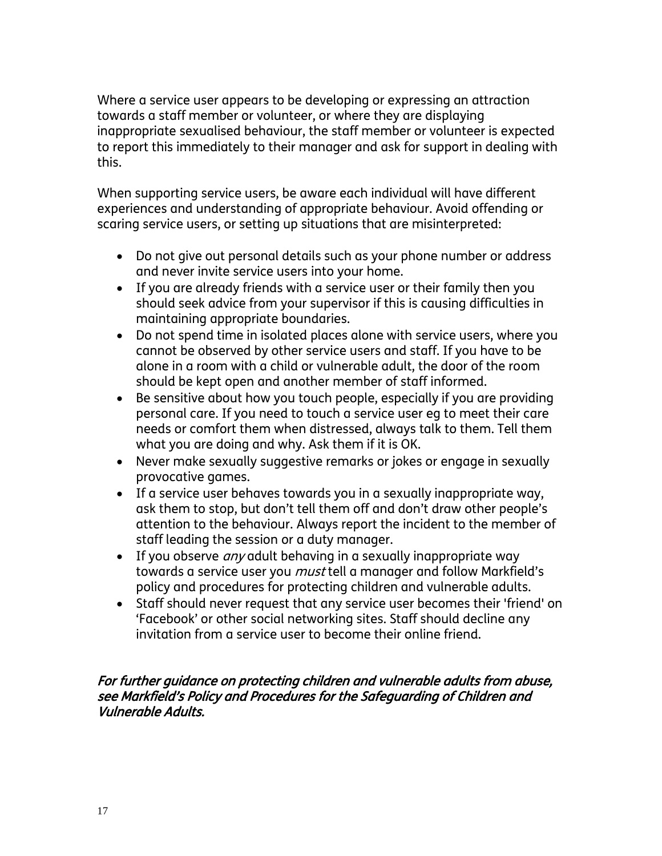Where a service user appears to be developing or expressing an attraction towards a staff member or volunteer, or where they are displaying inappropriate sexualised behaviour, the staff member or volunteer is expected to report this immediately to their manager and ask for support in dealing with this.

When supporting service users, be aware each individual will have different experiences and understanding of appropriate behaviour. Avoid offending or scaring service users, or setting up situations that are misinterpreted:

- Do not give out personal details such as your phone number or address and never invite service users into your home.
- If you are already friends with a service user or their family then you should seek advice from your supervisor if this is causing difficulties in maintaining appropriate boundaries.
- Do not spend time in isolated places alone with service users, where you cannot be observed by other service users and staff. If you have to be alone in a room with a child or vulnerable adult, the door of the room should be kept open and another member of staff informed.
- Be sensitive about how you touch people, especially if you are providing personal care. If you need to touch a service user eg to meet their care needs or comfort them when distressed, always talk to them. Tell them what you are doing and why. Ask them if it is OK.
- Never make sexually suggestive remarks or jokes or engage in sexually provocative games.
- If a service user behaves towards you in a sexually inappropriate way, ask them to stop, but don't tell them off and don't draw other people's attention to the behaviour. Always report the incident to the member of staff leading the session or a duty manager.
- If you observe *any* adult behaving in a sexually inappropriate way towards a service user you *must* tell a manager and follow Markfield's policy and procedures for protecting children and vulnerable adults.
- Staff should never request that any service user becomes their 'friend' on 'Facebook' or other social networking sites. Staff should decline any invitation from a service user to become their online friend.

#### For further guidance on protecting children and vulnerable adults from abuse, see Markfield's Policy and Procedures for the Safeguarding of Children and Vulnerable Adults.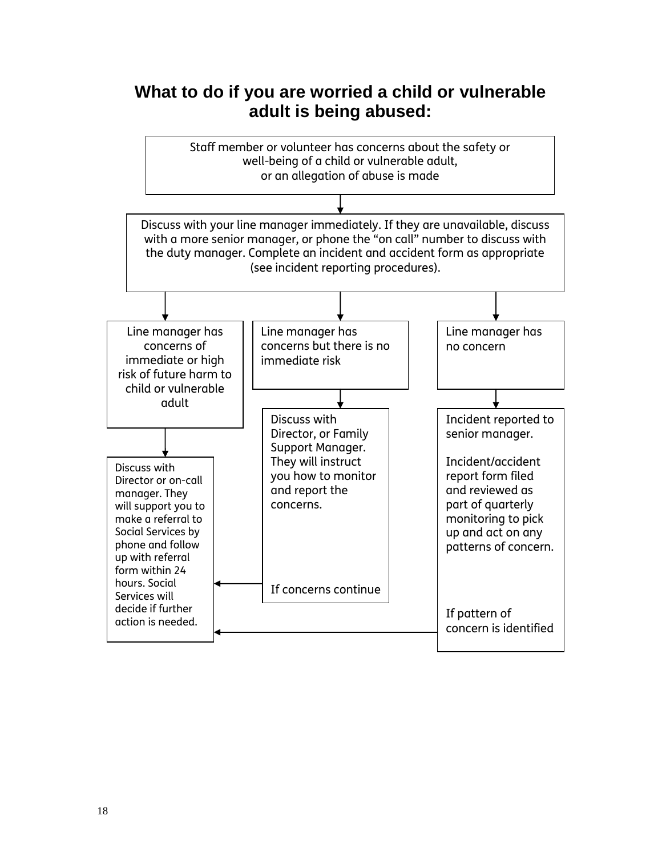# **What to do if you are worried a child or vulnerable adult is being abused:**

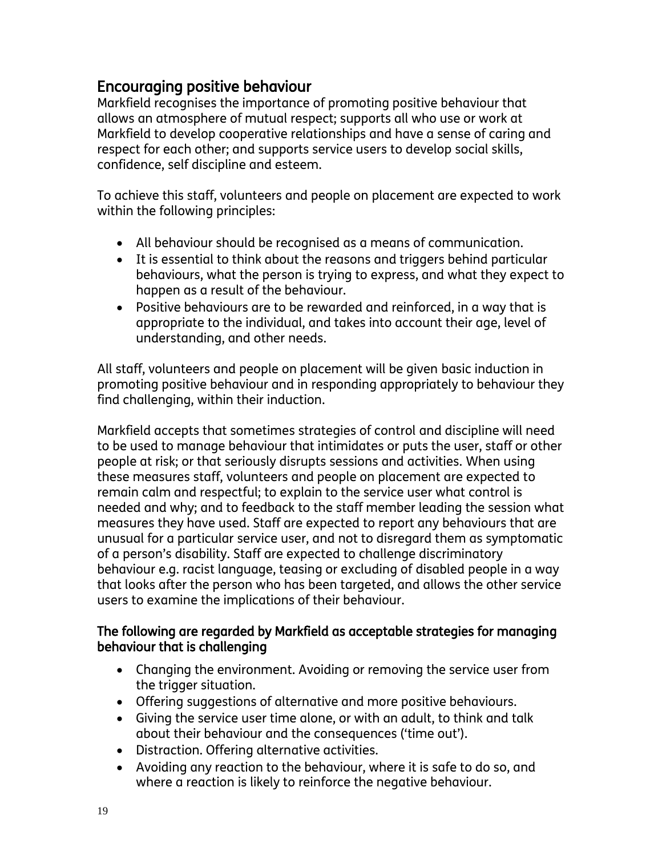# Encouraging positive behaviour

Markfield recognises the importance of promoting positive behaviour that allows an atmosphere of mutual respect; supports all who use or work at Markfield to develop cooperative relationships and have a sense of caring and respect for each other; and supports service users to develop social skills, confidence, self discipline and esteem.

To achieve this staff, volunteers and people on placement are expected to work within the following principles:

- All behaviour should be recognised as a means of communication.
- It is essential to think about the reasons and triggers behind particular behaviours, what the person is trying to express, and what they expect to happen as a result of the behaviour.
- Positive behaviours are to be rewarded and reinforced, in a way that is appropriate to the individual, and takes into account their age, level of understanding, and other needs.

All staff, volunteers and people on placement will be given basic induction in promoting positive behaviour and in responding appropriately to behaviour they find challenging, within their induction.

Markfield accepts that sometimes strategies of control and discipline will need to be used to manage behaviour that intimidates or puts the user, staff or other people at risk; or that seriously disrupts sessions and activities. When using these measures staff, volunteers and people on placement are expected to remain calm and respectful; to explain to the service user what control is needed and why; and to feedback to the staff member leading the session what measures they have used. Staff are expected to report any behaviours that are unusual for a particular service user, and not to disregard them as symptomatic of a person's disability. Staff are expected to challenge discriminatory behaviour e.g. racist language, teasing or excluding of disabled people in a way that looks after the person who has been targeted, and allows the other service users to examine the implications of their behaviour.

#### The following are regarded by Markfield as acceptable strategies for managing behaviour that is challenging

- Changing the environment. Avoiding or removing the service user from the trigger situation.
- Offering suggestions of alternative and more positive behaviours.
- Giving the service user time alone, or with an adult, to think and talk about their behaviour and the consequences ('time out').
- Distraction. Offering alternative activities.
- Avoiding any reaction to the behaviour, where it is safe to do so, and where a reaction is likely to reinforce the negative behaviour.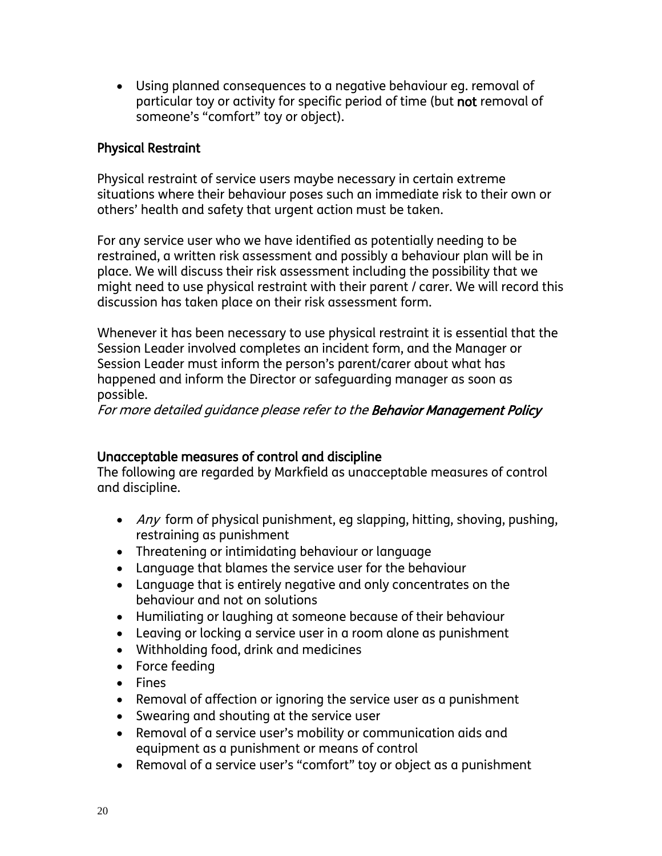Using planned consequences to a negative behaviour eg. removal of particular toy or activity for specific period of time (but not removal of someone's "comfort" toy or object).

#### Physical Restraint

Physical restraint of service users maybe necessary in certain extreme situations where their behaviour poses such an immediate risk to their own or others' health and safety that urgent action must be taken.

For any service user who we have identified as potentially needing to be restrained, a written risk assessment and possibly a behaviour plan will be in place. We will discuss their risk assessment including the possibility that we might need to use physical restraint with their parent / carer. We will record this discussion has taken place on their risk assessment form.

Whenever it has been necessary to use physical restraint it is essential that the Session Leader involved completes an incident form, and the Manager or Session Leader must inform the person's parent/carer about what has happened and inform the Director or safeguarding manager as soon as possible.

For more detailed guidance please refer to the Behavior Management Policy

#### Unacceptable measures of control and discipline

The following are regarded by Markfield as unacceptable measures of control and discipline.

- $\bullet$  *Any* form of physical punishment, eg slapping, hitting, shoving, pushing, restraining as punishment
- Threatening or intimidating behaviour or language
- Language that blames the service user for the behaviour
- Language that is entirely negative and only concentrates on the behaviour and not on solutions
- Humiliating or laughing at someone because of their behaviour
- Leaving or locking a service user in a room alone as punishment
- Withholding food, drink and medicines
- Force feeding
- Fines
- Removal of affection or ignoring the service user as a punishment
- Swearing and shouting at the service user
- Removal of a service user's mobility or communication aids and equipment as a punishment or means of control
- Removal of a service user's "comfort" toy or object as a punishment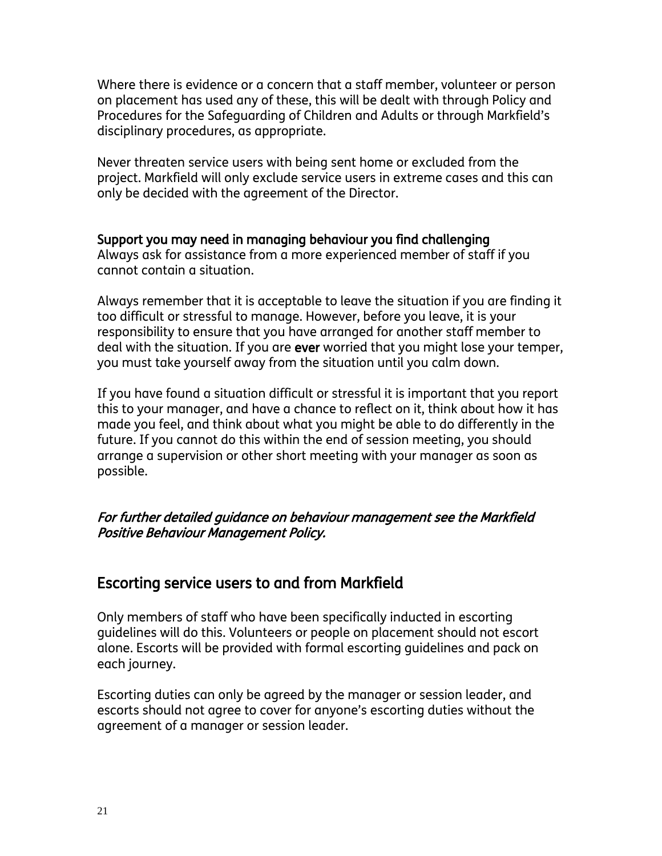Where there is evidence or a concern that a staff member, volunteer or person on placement has used any of these, this will be dealt with through Policy and Procedures for the Safeguarding of Children and Adults or through Markfield's disciplinary procedures, as appropriate.

Never threaten service users with being sent home or excluded from the project. Markfield will only exclude service users in extreme cases and this can only be decided with the agreement of the Director.

#### Support you may need in managing behaviour you find challenging

Always ask for assistance from a more experienced member of staff if you cannot contain a situation.

Always remember that it is acceptable to leave the situation if you are finding it too difficult or stressful to manage. However, before you leave, it is your responsibility to ensure that you have arranged for another staff member to deal with the situation. If you are ever worried that you might lose your temper, you must take yourself away from the situation until you calm down.

If you have found a situation difficult or stressful it is important that you report this to your manager, and have a chance to reflect on it, think about how it has made you feel, and think about what you might be able to do differently in the future. If you cannot do this within the end of session meeting, you should arrange a supervision or other short meeting with your manager as soon as possible.

#### For further detailed guidance on behaviour management see the Markfield Positive Behaviour Management Policy.

## Escorting service users to and from Markfield

Only members of staff who have been specifically inducted in escorting guidelines will do this. Volunteers or people on placement should not escort alone. Escorts will be provided with formal escorting guidelines and pack on each journey.

Escorting duties can only be agreed by the manager or session leader, and escorts should not agree to cover for anyone's escorting duties without the agreement of a manager or session leader.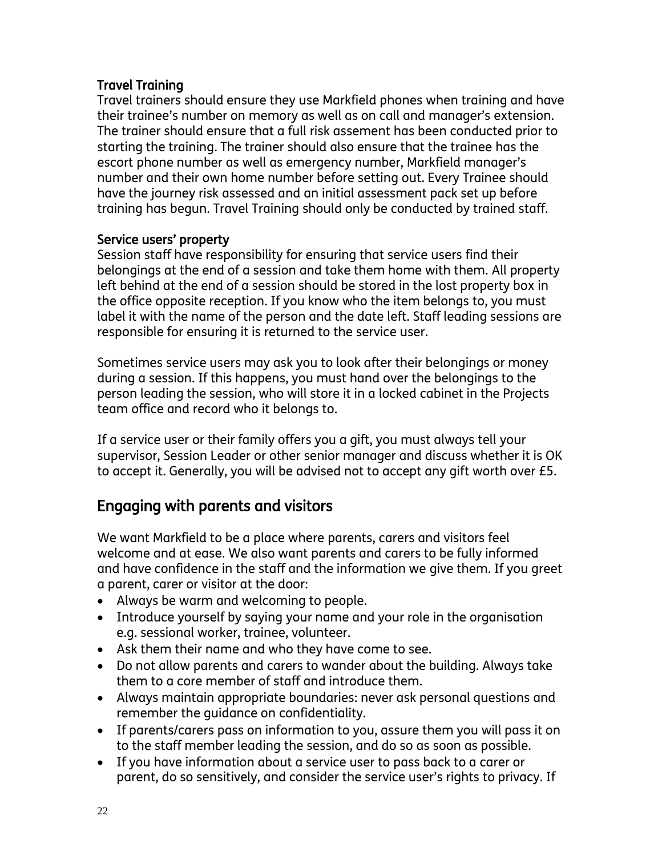#### Travel Training

Travel trainers should ensure they use Markfield phones when training and have their trainee's number on memory as well as on call and manager's extension. The trainer should ensure that a full risk assement has been conducted prior to starting the training. The trainer should also ensure that the trainee has the escort phone number as well as emergency number, Markfield manager's number and their own home number before setting out. Every Trainee should have the journey risk assessed and an initial assessment pack set up before training has begun. Travel Training should only be conducted by trained staff.

#### Service users' property

Session staff have responsibility for ensuring that service users find their belongings at the end of a session and take them home with them. All property left behind at the end of a session should be stored in the lost property box in the office opposite reception. If you know who the item belongs to, you must label it with the name of the person and the date left. Staff leading sessions are responsible for ensuring it is returned to the service user.

Sometimes service users may ask you to look after their belongings or money during a session. If this happens, you must hand over the belongings to the person leading the session, who will store it in a locked cabinet in the Projects team office and record who it belongs to.

If a service user or their family offers you a gift, you must always tell your supervisor, Session Leader or other senior manager and discuss whether it is OK to accept it. Generally, you will be advised not to accept any gift worth over £5.

# Engaging with parents and visitors

We want Markfield to be a place where parents, carers and visitors feel welcome and at ease. We also want parents and carers to be fully informed and have confidence in the staff and the information we give them. If you greet a parent, carer or visitor at the door:

- Always be warm and welcoming to people.
- Introduce yourself by saying your name and your role in the organisation e.g. sessional worker, trainee, volunteer.
- Ask them their name and who they have come to see.
- Do not allow parents and carers to wander about the building. Always take them to a core member of staff and introduce them.
- Always maintain appropriate boundaries: never ask personal questions and remember the guidance on confidentiality.
- If parents/carers pass on information to you, assure them you will pass it on to the staff member leading the session, and do so as soon as possible.
- If you have information about a service user to pass back to a carer or parent, do so sensitively, and consider the service user's rights to privacy. If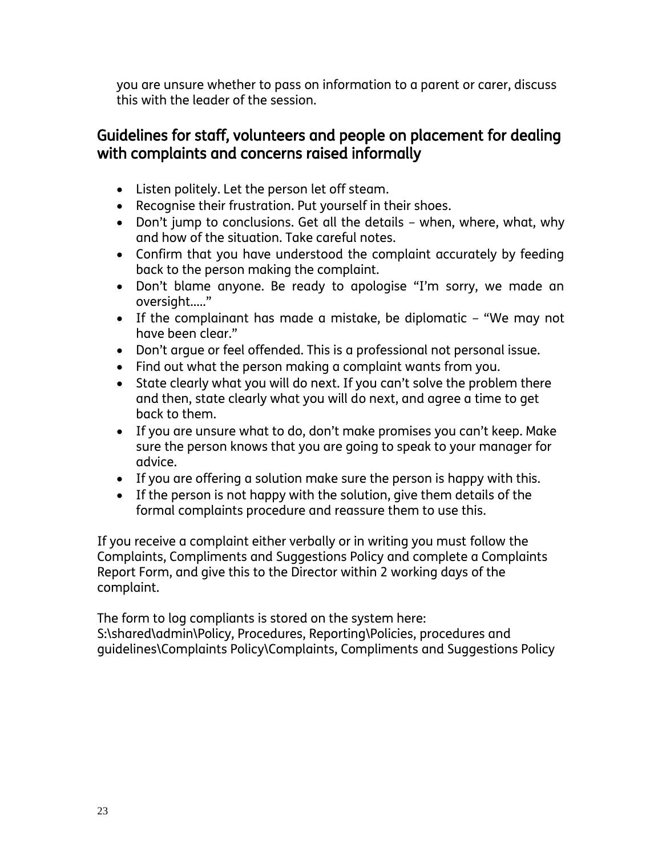you are unsure whether to pass on information to a parent or carer, discuss this with the leader of the session.

## Guidelines for staff, volunteers and people on placement for dealing with complaints and concerns raised informally

- Listen politely. Let the person let off steam.
- Recognise their frustration. Put yourself in their shoes.
- Don't jump to conclusions. Get all the details when, where, what, why and how of the situation. Take careful notes.
- Confirm that you have understood the complaint accurately by feeding back to the person making the complaint.
- Don't blame anyone. Be ready to apologise "I'm sorry, we made an oversight….."
- If the complainant has made a mistake, be diplomatic "We may not have been clear."
- Don't argue or feel offended. This is a professional not personal issue.
- Find out what the person making a complaint wants from you.
- State clearly what you will do next. If you can't solve the problem there and then, state clearly what you will do next, and agree a time to get back to them.
- If you are unsure what to do, don't make promises you can't keep. Make sure the person knows that you are going to speak to your manager for advice.
- If you are offering a solution make sure the person is happy with this.
- If the person is not happy with the solution, give them details of the formal complaints procedure and reassure them to use this.

If you receive a complaint either verbally or in writing you must follow the Complaints, Compliments and Suggestions Policy and complete a Complaints Report Form, and give this to the Director within 2 working days of the complaint.

The form to log compliants is stored on the system here: S:\shared\admin\Policy, Procedures, Reporting\Policies, procedures and guidelines\Complaints Policy\Complaints, Compliments and Suggestions Policy